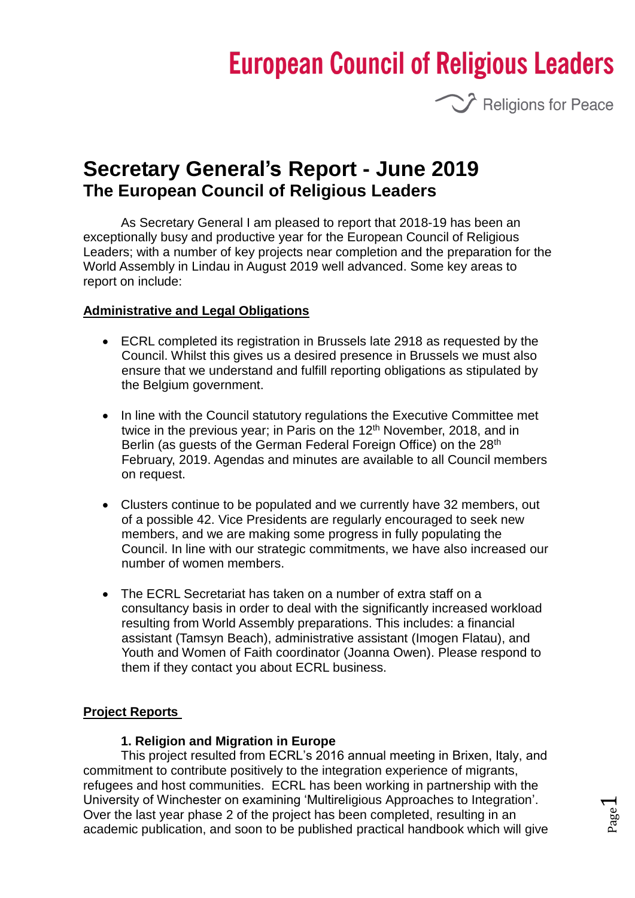# **European Council of Religious Leaders**



# **Secretary General's Report - June 2019 The European Council of Religious Leaders**

As Secretary General I am pleased to report that 2018-19 has been an exceptionally busy and productive year for the European Council of Religious Leaders; with a number of key projects near completion and the preparation for the World Assembly in Lindau in August 2019 well advanced. Some key areas to report on include:

#### **Administrative and Legal Obligations**

- ECRL completed its registration in Brussels late 2918 as requested by the Council. Whilst this gives us a desired presence in Brussels we must also ensure that we understand and fulfill reporting obligations as stipulated by the Belgium government.
- In line with the Council statutory regulations the Executive Committee met twice in the previous year; in Paris on the 12<sup>th</sup> November, 2018, and in Berlin (as quests of the German Federal Foreign Office) on the 28<sup>th</sup> February, 2019. Agendas and minutes are available to all Council members on request.
- Clusters continue to be populated and we currently have 32 members, out of a possible 42. Vice Presidents are regularly encouraged to seek new members, and we are making some progress in fully populating the Council. In line with our strategic commitments, we have also increased our number of women members.
- The ECRL Secretariat has taken on a number of extra staff on a consultancy basis in order to deal with the significantly increased workload resulting from World Assembly preparations. This includes: a financial assistant (Tamsyn Beach), administrative assistant (Imogen Flatau), and Youth and Women of Faith coordinator (Joanna Owen). Please respond to them if they contact you about ECRL business.

## **Project Reports**

#### **1. Religion and Migration in Europe**

This project resulted from ECRL's 2016 annual meeting in Brixen, Italy, and commitment to contribute positively to the integration experience of migrants, refugees and host communities. ECRL has been working in partnership with the University of Winchester on examining 'Multireligious Approaches to Integration'. Over the last year phase 2 of the project has been completed, resulting in an academic publication, and soon to be published practical handbook which will give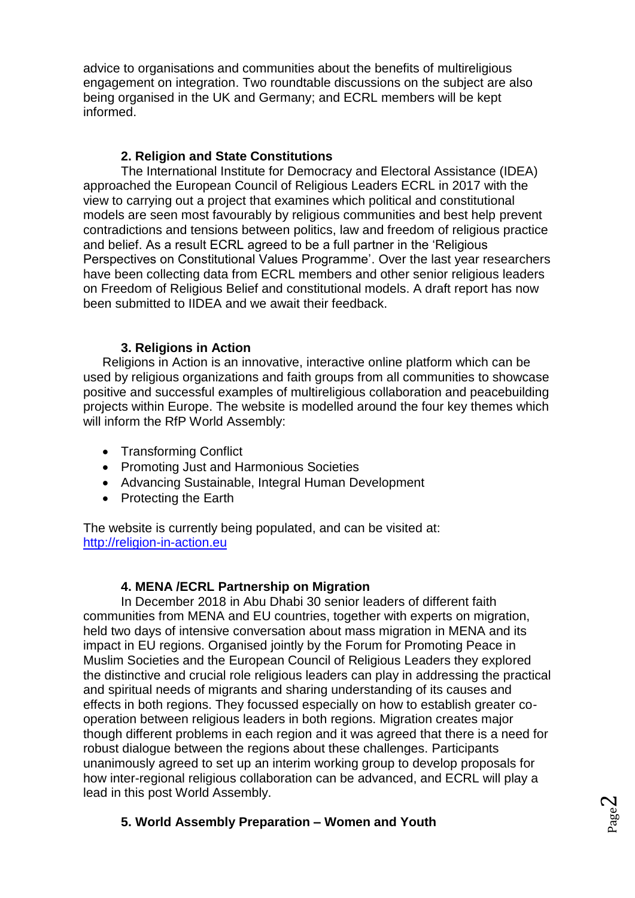advice to organisations and communities about the benefits of multireligious engagement on integration. Two roundtable discussions on the subject are also being organised in the UK and Germany; and ECRL members will be kept informed.

# **2. Religion and State Constitutions**

The International Institute for Democracy and Electoral Assistance (IDEA) approached the European Council of Religious Leaders ECRL in 2017 with the view to carrying out a project that examines which political and constitutional models are seen most favourably by religious communities and best help prevent contradictions and tensions between politics, law and freedom of religious practice and belief. As a result ECRL agreed to be a full partner in the 'Religious Perspectives on Constitutional Values Programme'. Over the last year researchers have been collecting data from ECRL members and other senior religious leaders on Freedom of Religious Belief and constitutional models. A draft report has now been submitted to IIDEA and we await their feedback.

# **3. Religions in Action**

Religions in Action is an innovative, interactive online platform which can be used by religious organizations and faith groups from all communities to showcase positive and successful examples of multireligious collaboration and peacebuilding projects within Europe. The website is modelled around the four key themes which will inform the RfP World Assembly:

- Transforming Conflict
- Promoting Just and Harmonious Societies
- Advancing Sustainable, Integral Human Development
- Protecting the Earth

The website is currently being populated, and can be visited at: [http://religion-in-action.eu](http://religion-in-action.eu/)

# **4. MENA /ECRL Partnership on Migration**

In December 2018 in Abu Dhabi 30 senior leaders of different faith communities from MENA and EU countries, together with experts on migration, held two days of intensive conversation about mass migration in MENA and its impact in EU regions. Organised jointly by the Forum for Promoting Peace in Muslim Societies and the European Council of Religious Leaders they explored the distinctive and crucial role religious leaders can play in addressing the practical and spiritual needs of migrants and sharing understanding of its causes and effects in both regions. They focussed especially on how to establish greater cooperation between religious leaders in both regions. Migration creates major though different problems in each region and it was agreed that there is a need for robust dialogue between the regions about these challenges. Participants unanimously agreed to set up an interim working group to develop proposals for how inter-regional religious collaboration can be advanced, and ECRL will play a lead in this post World Assembly.

# **5. World Assembly Preparation – Women and Youth**